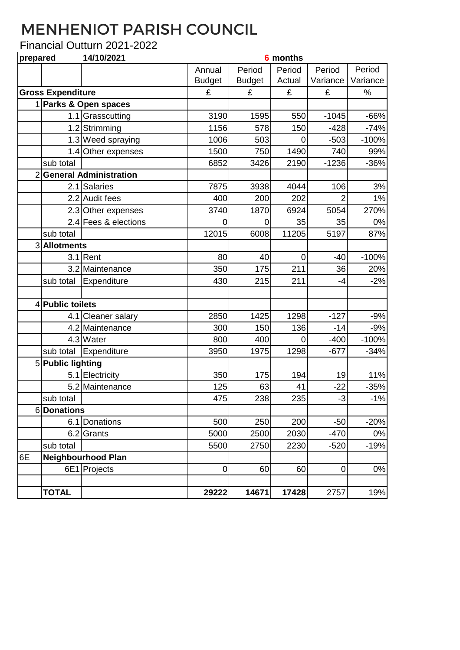## MENHENIOT PARISH COUNCIL

## Financial Outturn 2021-2022

| prepared                 |                           | 14/10/2021                    |               |               | <b>6</b> months |          |          |
|--------------------------|---------------------------|-------------------------------|---------------|---------------|-----------------|----------|----------|
|                          |                           |                               | Annual        | Period        | Period          | Period   | Period   |
|                          |                           |                               | <b>Budget</b> | <b>Budget</b> | Actual          | Variance | Variance |
| <b>Gross Expenditure</b> |                           |                               | £             | £             | £               | £        | %        |
|                          |                           | 1 Parks & Open spaces         |               |               |                 |          |          |
|                          |                           | 1.1 Grasscutting              | 3190          | 1595          | 550             | $-1045$  | $-66%$   |
|                          |                           | 1.2 Strimming                 | 1156          | 578           | 150             | $-428$   | $-74%$   |
|                          |                           | 1.3 Weed spraying             | 1006          | 503           | $\mathbf 0$     | $-503$   | $-100%$  |
|                          |                           | 1.4 Other expenses            | 1500          | 750           | 1490            | 740      | 99%      |
|                          | sub total                 |                               | 6852          | 3426          | 2190            | $-1236$  | $-36%$   |
| $\overline{2}$           |                           | <b>General Administration</b> |               |               |                 |          |          |
|                          |                           | 2.1 Salaries                  | 7875          | 3938          | 4044            | 106      | 3%       |
|                          |                           | 2.2 Audit fees                | 400           | 200           | 202             |          | 1%       |
|                          |                           | 2.3 Other expenses            | 3740          | 1870          | 6924            | 5054     | 270%     |
|                          |                           | 2.4 Fees & elections          | 0             | 0             | 35              | 35       | 0%       |
|                          | sub total                 |                               | 12015         | 6008          | 11205           | 5197     | 87%      |
|                          | 3 Allotments              |                               |               |               |                 |          |          |
|                          | 3.1                       | Rent                          | 80            | 40            | $\mathbf 0$     | $-40$    | $-100%$  |
|                          |                           | 3.2 Maintenance               | 350           | 175           | 211             | 36       | 20%      |
|                          | sub total                 | Expenditure                   | 430           | 215           | 211             | $-4$     | $-2%$    |
|                          |                           |                               |               |               |                 |          |          |
|                          | 4 Public toilets          |                               |               |               |                 |          |          |
|                          |                           | 4.1 Cleaner salary            | 2850          | 1425          | 1298            | $-127$   | $-9%$    |
|                          |                           | 4.2 Maintenance               | 300           | 150           | 136             | $-14$    | $-9%$    |
|                          |                           | 4.3 Water                     | 800           | 400           | 0               | $-400$   | $-100%$  |
|                          | sub total                 | Expenditure                   | 3950          | 1975          | 1298            | $-677$   | $-34%$   |
|                          | 5 Public lighting         |                               |               |               |                 |          |          |
|                          |                           | 5.1 Electricity               | 350           | 175           | 194             | 19       | 11%      |
|                          |                           | 5.2 Maintenance               | 125           | 63            | 41              | $-22$    | $-35%$   |
|                          | sub total                 |                               | 475           | 238           | 235             | $-3$     | $-1%$    |
|                          | 6Donations                |                               |               |               |                 |          |          |
|                          |                           | 6.1 Donations                 | 500           | 250           | 200             | $-50$    | $-20%$   |
|                          |                           | 6.2 Grants                    | 5000          | 2500          | 2030            | $-470$   | 0%       |
|                          | sub total                 |                               | 5500          | 2750          | 2230            | $-520$   | $-19%$   |
| 6E                       | <b>Neighbourhood Plan</b> |                               |               |               |                 |          |          |
|                          |                           | 6E1 Projects                  | $\mathbf 0$   | 60            | 60              | 0        | 0%       |
|                          |                           |                               |               |               |                 |          |          |
|                          | <b>TOTAL</b>              |                               | 29222         | 14671         | 17428           | 2757     | 19%      |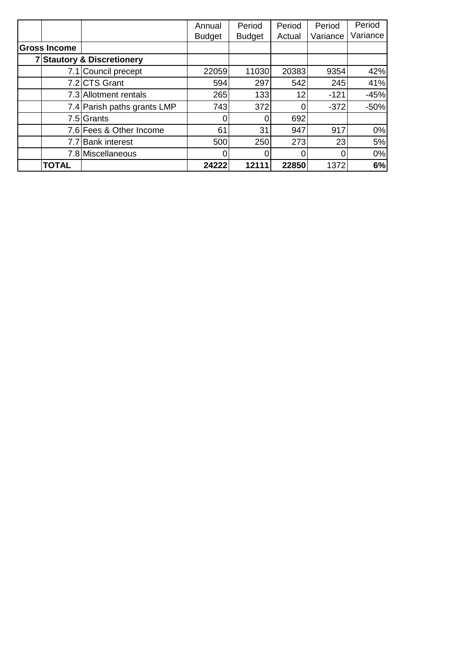|                     |                                       | Annual        | Period        | Period          | Period   | Period   |
|---------------------|---------------------------------------|---------------|---------------|-----------------|----------|----------|
|                     |                                       | <b>Budget</b> | <b>Budget</b> | Actual          | Variance | Variance |
| <b>Gross Income</b> |                                       |               |               |                 |          |          |
|                     | <b>7 Stautory &amp; Discretionery</b> |               |               |                 |          |          |
|                     | 7.1 Council precept                   | 22059         | 11030         | 20383           | 9354     | 42%      |
|                     | 7.2 CTS Grant                         | 594           | 297           | 542             | 245      | 41%      |
|                     | 7.3 Allotment rentals                 | 265           | 133           | 12 <sub>1</sub> | $-121$   | $-45%$   |
|                     | 7.4 Parish paths grants LMP           | 743           | 372           |                 | $-372$   | $-50%$   |
|                     | 7.5 Grants                            |               |               | 692             |          |          |
|                     | 7.6 Fees & Other Income               | 61            | 31            | 947             | 917      | 0%       |
|                     | 7.7 Bank interest                     | 500           | 250           | 273             | 23       | 5%       |
|                     | 7.8 Miscellaneous                     |               |               |                 | 0        | 0%       |
| <b>TOTAL</b>        |                                       | 24222         | 12111         | 22850           | 1372     | 6%       |